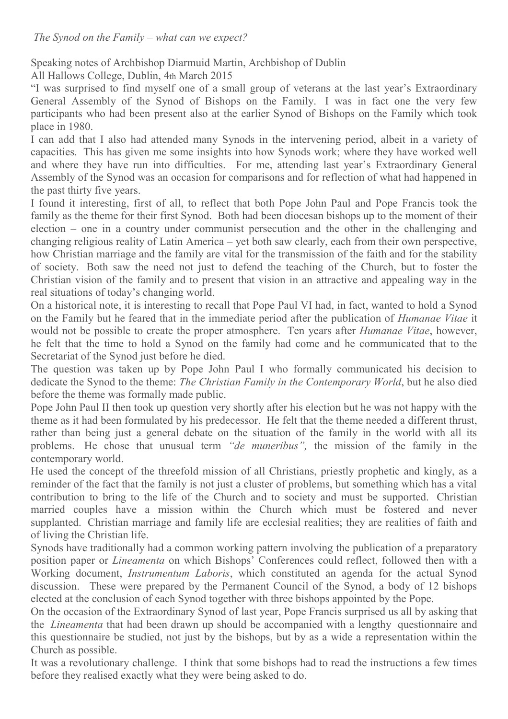Speaking notes of Archbishop Diarmuid Martin, Archbishop of Dublin

All Hallows College, Dublin, 4th March 2015

"I was surprised to find myself one of a small group of veterans at the last year's Extraordinary General Assembly of the Synod of Bishops on the Family. I was in fact one the very few participants who had been present also at the earlier Synod of Bishops on the Family which took place in 1980.

I can add that I also had attended many Synods in the intervening period, albeit in a variety of capacities. This has given me some insights into how Synods work; where they have worked well and where they have run into difficulties. For me, attending last year's Extraordinary General Assembly of the Synod was an occasion for comparisons and for reflection of what had happened in the past thirty five years.

I found it interesting, first of all, to reflect that both Pope John Paul and Pope Francis took the family as the theme for their first Synod. Both had been diocesan bishops up to the moment of their election – one in a country under communist persecution and the other in the challenging and changing religious reality of Latin America – yet both saw clearly, each from their own perspective, how Christian marriage and the family are vital for the transmission of the faith and for the stability of society. Both saw the need not just to defend the teaching of the Church, but to foster the Christian vision of the family and to present that vision in an attractive and appealing way in the real situations of today's changing world.

On a historical note, it is interesting to recall that Pope Paul VI had, in fact, wanted to hold a Synod on the Family but he feared that in the immediate period after the publication of *Humanae Vitae* it would not be possible to create the proper atmosphere. Ten years after *Humanae Vitae*, however, he felt that the time to hold a Synod on the family had come and he communicated that to the Secretariat of the Synod just before he died.

The question was taken up by Pope John Paul I who formally communicated his decision to dedicate the Synod to the theme: *The Christian Family in the Contemporary World*, but he also died before the theme was formally made public.

Pope John Paul II then took up question very shortly after his election but he was not happy with the theme as it had been formulated by his predecessor. He felt that the theme needed a different thrust, rather than being just a general debate on the situation of the family in the world with all its problems. He chose that unusual term *"de muneribus",* the mission of the family in the contemporary world.

He used the concept of the threefold mission of all Christians, priestly prophetic and kingly, as a reminder of the fact that the family is not just a cluster of problems, but something which has a vital contribution to bring to the life of the Church and to society and must be supported. Christian married couples have a mission within the Church which must be fostered and never supplanted. Christian marriage and family life are ecclesial realities; they are realities of faith and of living the Christian life.

Synods have traditionally had a common working pattern involving the publication of a preparatory position paper or *Lineamenta* on which Bishops' Conferences could reflect, followed then with a Working document, *Instrumentum Laboris*, which constituted an agenda for the actual Synod discussion. These were prepared by the Permanent Council of the Synod, a body of 12 bishops elected at the conclusion of each Synod together with three bishops appointed by the Pope.

On the occasion of the Extraordinary Synod of last year, Pope Francis surprised us all by asking that the *Lineamenta* that had been drawn up should be accompanied with a lengthy questionnaire and this questionnaire be studied, not just by the bishops, but by as a wide a representation within the Church as possible.

It was a revolutionary challenge. I think that some bishops had to read the instructions a few times before they realised exactly what they were being asked to do.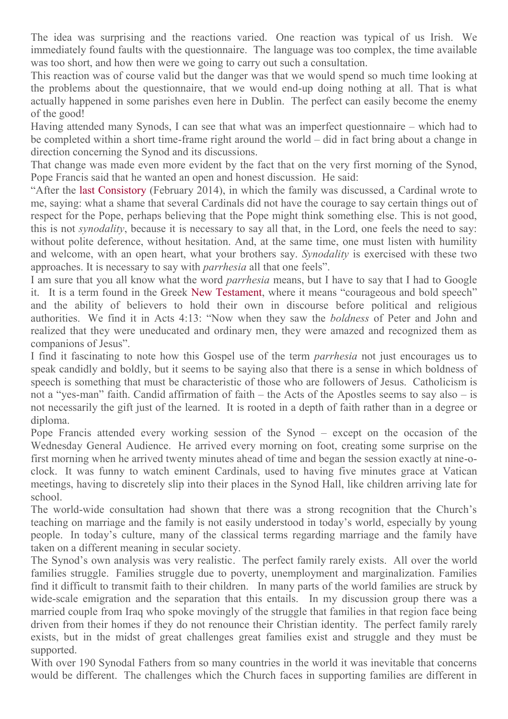The idea was surprising and the reactions varied. One reaction was typical of us Irish. We immediately found faults with the questionnaire. The language was too complex, the time available was too short, and how then were we going to carry out such a consultation.

This reaction was of course valid but the danger was that we would spend so much time looking at the problems about the questionnaire, that we would end-up doing nothing at all. That is what actually happened in some parishes even here in Dublin. The perfect can easily become the enemy of the good!

Having attended many Synods, I can see that what was an imperfect questionnaire – which had to be completed within a short time-frame right around the world – did in fact bring about a change in direction concerning the Synod and its discussions.

That change was made even more evident by the fact that on the very first morning of the Synod, Pope Francis said that he wanted an open and honest discussion. He said:

"After the [last Consistory](http://www.vatican.va/roman_curia/cardinals/concistoro-22feb2014/index.htm) (February 2014), in which the family was discussed, a Cardinal wrote to me, saying: what a shame that several Cardinals did not have the courage to say certain things out of respect for the Pope, perhaps believing that the Pope might think something else. This is not good, this is not *synodality*, because it is necessary to say all that, in the Lord, one feels the need to say: without polite deference, without hesitation. And, at the same time, one must listen with humility and welcome, with an open heart, what your brothers say. *Synodality* is exercised with these two approaches. It is necessary to say with *parrhesia* all that one feels".

I am sure that you all know what the word *parrhesia* means, but I have to say that I had to Google it. It is a term found in the Greek [New Testament](http://en.wikipedia.org/wiki/New_Testament), where it means "courageous and bold speech" and the ability of believers to hold their own in discourse before political and religious authorities. We find it in Acts 4:13: "Now when they saw the *boldness* of Peter and John and realized that they were uneducated and ordinary men, they were amazed and recognized them as companions of Jesus".

I find it fascinating to note how this Gospel use of the term *parrhesia* not just encourages us to speak candidly and boldly, but it seems to be saying also that there is a sense in which boldness of speech is something that must be characteristic of those who are followers of Jesus. Catholicism is not a "yes-man" faith. Candid affirmation of faith – the Acts of the Apostles seems to say also – is not necessarily the gift just of the learned. It is rooted in a depth of faith rather than in a degree or diploma.

Pope Francis attended every working session of the Synod – except on the occasion of the Wednesday General Audience. He arrived every morning on foot, creating some surprise on the first morning when he arrived twenty minutes ahead of time and began the session exactly at nine-oclock. It was funny to watch eminent Cardinals, used to having five minutes grace at Vatican meetings, having to discretely slip into their places in the Synod Hall, like children arriving late for school.

The world-wide consultation had shown that there was a strong recognition that the Church's teaching on marriage and the family is not easily understood in today's world, especially by young people. In today's culture, many of the classical terms regarding marriage and the family have taken on a different meaning in secular society.

The Synod's own analysis was very realistic. The perfect family rarely exists. All over the world families struggle. Families struggle due to poverty, unemployment and marginalization. Families find it difficult to transmit faith to their children. In many parts of the world families are struck by wide-scale emigration and the separation that this entails. In my discussion group there was a married couple from Iraq who spoke movingly of the struggle that families in that region face being driven from their homes if they do not renounce their Christian identity. The perfect family rarely exists, but in the midst of great challenges great families exist and struggle and they must be supported.

With over 190 Synodal Fathers from so many countries in the world it was inevitable that concerns would be different. The challenges which the Church faces in supporting families are different in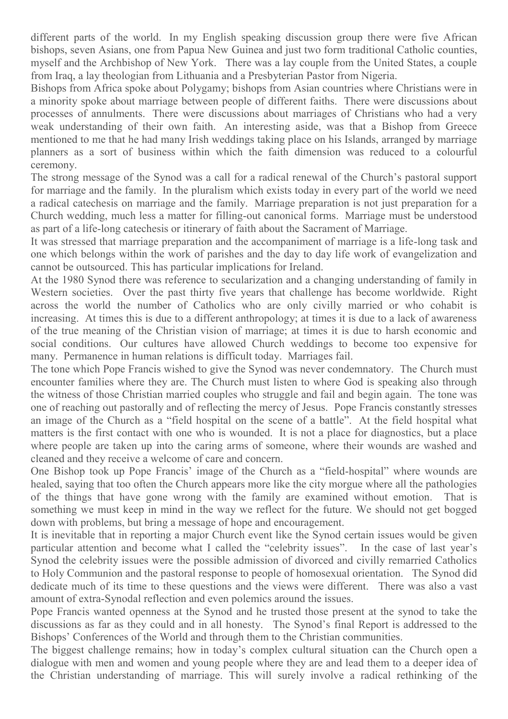different parts of the world. In my English speaking discussion group there were five African bishops, seven Asians, one from Papua New Guinea and just two form traditional Catholic counties, myself and the Archbishop of New York. There was a lay couple from the United States, a couple from Iraq, a lay theologian from Lithuania and a Presbyterian Pastor from Nigeria.

Bishops from Africa spoke about Polygamy; bishops from Asian countries where Christians were in a minority spoke about marriage between people of different faiths. There were discussions about processes of annulments. There were discussions about marriages of Christians who had a very weak understanding of their own faith. An interesting aside, was that a Bishop from Greece mentioned to me that he had many Irish weddings taking place on his Islands, arranged by marriage planners as a sort of business within which the faith dimension was reduced to a colourful ceremony.

The strong message of the Synod was a call for a radical renewal of the Church's pastoral support for marriage and the family. In the pluralism which exists today in every part of the world we need a radical catechesis on marriage and the family. Marriage preparation is not just preparation for a Church wedding, much less a matter for filling-out canonical forms. Marriage must be understood as part of a life-long catechesis or itinerary of faith about the Sacrament of Marriage.

It was stressed that marriage preparation and the accompaniment of marriage is a life-long task and one which belongs within the work of parishes and the day to day life work of evangelization and cannot be outsourced. This has particular implications for Ireland.

At the 1980 Synod there was reference to secularization and a changing understanding of family in Western societies. Over the past thirty five years that challenge has become worldwide. Right across the world the number of Catholics who are only civilly married or who cohabit is increasing. At times this is due to a different anthropology; at times it is due to a lack of awareness of the true meaning of the Christian vision of marriage; at times it is due to harsh economic and social conditions. Our cultures have allowed Church weddings to become too expensive for many. Permanence in human relations is difficult today. Marriages fail.

The tone which Pope Francis wished to give the Synod was never condemnatory. The Church must encounter families where they are. The Church must listen to where God is speaking also through the witness of those Christian married couples who struggle and fail and begin again. The tone was one of reaching out pastorally and of reflecting the mercy of Jesus. Pope Francis constantly stresses an image of the Church as a "field hospital on the scene of a battle". At the field hospital what matters is the first contact with one who is wounded. It is not a place for diagnostics, but a place where people are taken up into the caring arms of someone, where their wounds are washed and cleaned and they receive a welcome of care and concern.

One Bishop took up Pope Francis' image of the Church as a "field-hospital" where wounds are healed, saying that too often the Church appears more like the city morgue where all the pathologies of the things that have gone wrong with the family are examined without emotion. That is something we must keep in mind in the way we reflect for the future. We should not get bogged down with problems, but bring a message of hope and encouragement.

It is inevitable that in reporting a major Church event like the Synod certain issues would be given particular attention and become what I called the "celebrity issues". In the case of last year's Synod the celebrity issues were the possible admission of divorced and civilly remarried Catholics to Holy Communion and the pastoral response to people of homosexual orientation. The Synod did dedicate much of its time to these questions and the views were different. There was also a vast amount of extra-Synodal reflection and even polemics around the issues.

Pope Francis wanted openness at the Synod and he trusted those present at the synod to take the discussions as far as they could and in all honesty. The Synod's final Report is addressed to the Bishops' Conferences of the World and through them to the Christian communities.

The biggest challenge remains; how in today's complex cultural situation can the Church open a dialogue with men and women and young people where they are and lead them to a deeper idea of the Christian understanding of marriage. This will surely involve a radical rethinking of the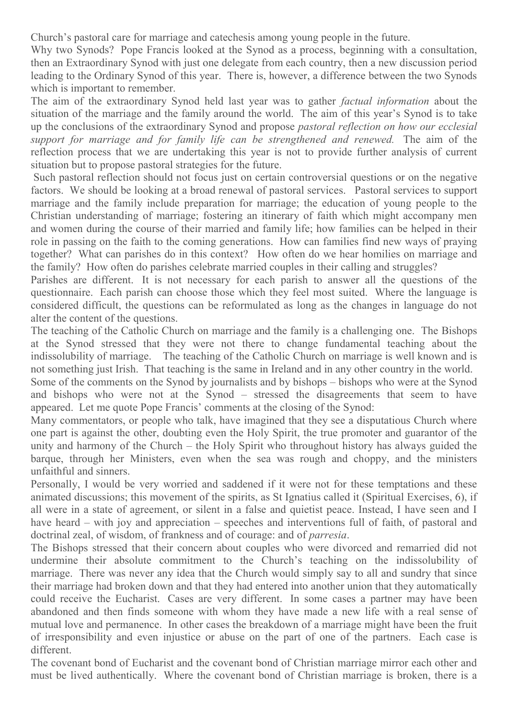Church's pastoral care for marriage and catechesis among young people in the future.

Why two Synods? Pope Francis looked at the Synod as a process, beginning with a consultation, then an Extraordinary Synod with just one delegate from each country, then a new discussion period leading to the Ordinary Synod of this year. There is, however, a difference between the two Synods which is important to remember.

The aim of the extraordinary Synod held last year was to gather *factual information* about the situation of the marriage and the family around the world. The aim of this year's Synod is to take up the conclusions of the extraordinary Synod and propose *pastoral reflection on how our ecclesial support for marriage and for family life can be strengthened and renewed.* The aim of the reflection process that we are undertaking this year is not to provide further analysis of current situation but to propose pastoral strategies for the future.

Such pastoral reflection should not focus just on certain controversial questions or on the negative factors. We should be looking at a broad renewal of pastoral services. Pastoral services to support marriage and the family include preparation for marriage; the education of young people to the Christian understanding of marriage; fostering an itinerary of faith which might accompany men and women during the course of their married and family life; how families can be helped in their role in passing on the faith to the coming generations. How can families find new ways of praying together? What can parishes do in this context? How often do we hear homilies on marriage and the family? How often do parishes celebrate married couples in their calling and struggles?

Parishes are different. It is not necessary for each parish to answer all the questions of the questionnaire. Each parish can choose those which they feel most suited. Where the language is considered difficult, the questions can be reformulated as long as the changes in language do not alter the content of the questions.

The teaching of the Catholic Church on marriage and the family is a challenging one. The Bishops at the Synod stressed that they were not there to change fundamental teaching about the indissolubility of marriage. The teaching of the Catholic Church on marriage is well known and is not something just Irish. That teaching is the same in Ireland and in any other country in the world.

Some of the comments on the Synod by journalists and by bishops – bishops who were at the Synod and bishops who were not at the Synod – stressed the disagreements that seem to have appeared. Let me quote Pope Francis' comments at the closing of the Synod:

Many commentators, or people who talk, have imagined that they see a disputatious Church where one part is against the other, doubting even the Holy Spirit, the true promoter and guarantor of the unity and harmony of the Church – the Holy Spirit who throughout history has always guided the barque, through her Ministers, even when the sea was rough and choppy, and the ministers unfaithful and sinners.

Personally, I would be very worried and saddened if it were not for these temptations and these animated discussions; this movement of the spirits, as St Ignatius called it (Spiritual Exercises, 6), if all were in a state of agreement, or silent in a false and quietist peace. Instead, I have seen and I have heard – with joy and appreciation – speeches and interventions full of faith, of pastoral and doctrinal zeal, of wisdom, of frankness and of courage: and of *parresia*.

The Bishops stressed that their concern about couples who were divorced and remarried did not undermine their absolute commitment to the Church's teaching on the indissolubility of marriage. There was never any idea that the Church would simply say to all and sundry that since their marriage had broken down and that they had entered into another union that they automatically could receive the Eucharist. Cases are very different. In some cases a partner may have been abandoned and then finds someone with whom they have made a new life with a real sense of mutual love and permanence. In other cases the breakdown of a marriage might have been the fruit of irresponsibility and even injustice or abuse on the part of one of the partners. Each case is different.

The covenant bond of Eucharist and the covenant bond of Christian marriage mirror each other and must be lived authentically. Where the covenant bond of Christian marriage is broken, there is a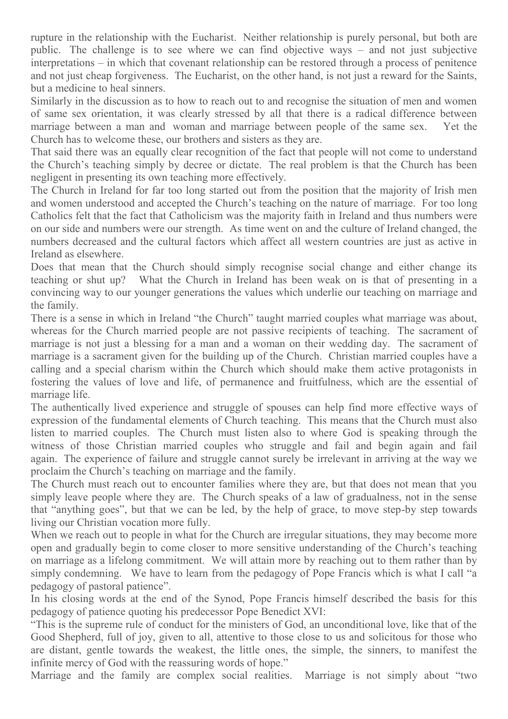rupture in the relationship with the Eucharist. Neither relationship is purely personal, but both are public. The challenge is to see where we can find objective ways – and not just subjective interpretations – in which that covenant relationship can be restored through a process of penitence and not just cheap forgiveness. The Eucharist, on the other hand, is not just a reward for the Saints, but a medicine to heal sinners.

Similarly in the discussion as to how to reach out to and recognise the situation of men and women of same sex orientation, it was clearly stressed by all that there is a radical difference between marriage between a man and woman and marriage between people of the same sex. Yet the Church has to welcome these, our brothers and sisters as they are.

That said there was an equally clear recognition of the fact that people will not come to understand the Church's teaching simply by decree or dictate. The real problem is that the Church has been negligent in presenting its own teaching more effectively.

The Church in Ireland for far too long started out from the position that the majority of Irish men and women understood and accepted the Church's teaching on the nature of marriage. For too long Catholics felt that the fact that Catholicism was the majority faith in Ireland and thus numbers were on our side and numbers were our strength. As time went on and the culture of Ireland changed, the numbers decreased and the cultural factors which affect all western countries are just as active in Ireland as elsewhere.

Does that mean that the Church should simply recognise social change and either change its teaching or shut up? What the Church in Ireland has been weak on is that of presenting in a convincing way to our younger generations the values which underlie our teaching on marriage and the family.

There is a sense in which in Ireland "the Church" taught married couples what marriage was about, whereas for the Church married people are not passive recipients of teaching. The sacrament of marriage is not just a blessing for a man and a woman on their wedding day. The sacrament of marriage is a sacrament given for the building up of the Church. Christian married couples have a calling and a special charism within the Church which should make them active protagonists in fostering the values of love and life, of permanence and fruitfulness, which are the essential of marriage life.

The authentically lived experience and struggle of spouses can help find more effective ways of expression of the fundamental elements of Church teaching. This means that the Church must also listen to married couples. The Church must listen also to where God is speaking through the witness of those Christian married couples who struggle and fail and begin again and fail again. The experience of failure and struggle cannot surely be irrelevant in arriving at the way we proclaim the Church's teaching on marriage and the family.

The Church must reach out to encounter families where they are, but that does not mean that you simply leave people where they are. The Church speaks of a law of gradualness, not in the sense that "anything goes", but that we can be led, by the help of grace, to move step-by step towards living our Christian vocation more fully.

When we reach out to people in what for the Church are irregular situations, they may become more open and gradually begin to come closer to more sensitive understanding of the Church's teaching on marriage as a lifelong commitment. We will attain more by reaching out to them rather than by simply condemning. We have to learn from the pedagogy of Pope Francis which is what I call "a pedagogy of pastoral patience".

In his closing words at the end of the Synod, Pope Francis himself described the basis for this pedagogy of patience quoting his predecessor Pope Benedict XVI:

"This is the supreme rule of conduct for the ministers of God, an unconditional love, like that of the Good Shepherd, full of joy, given to all, attentive to those close to us and solicitous for those who are distant, gentle towards the weakest, the little ones, the simple, the sinners, to manifest the infinite mercy of God with the reassuring words of hope."

Marriage and the family are complex social realities. Marriage is not simply about "two